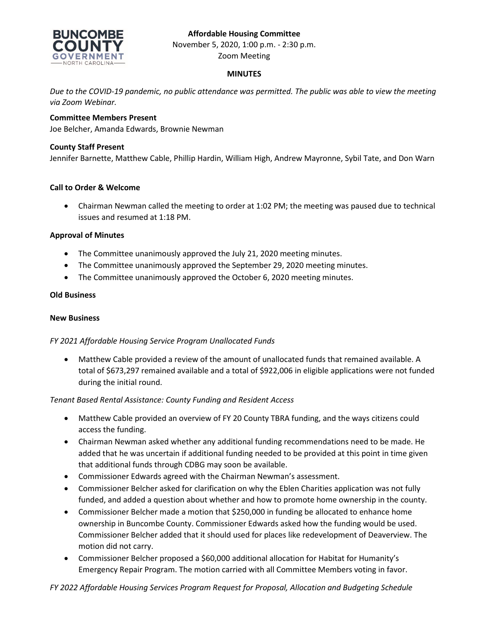# **Affordable Housing Committee**



November 5, 2020, 1:00 p.m. - 2:30 p.m.

Zoom Meeting

### **MINUTES**

*Due to the COVID-19 pandemic, no public attendance was permitted. The public was able to view the meeting via Zoom Webinar.*

# **Committee Members Present**

Joe Belcher, Amanda Edwards, Brownie Newman

### **County Staff Present**

Jennifer Barnette, Matthew Cable, Phillip Hardin, William High, Andrew Mayronne, Sybil Tate, and Don Warn

#### **Call to Order & Welcome**

• Chairman Newman called the meeting to order at 1:02 PM; the meeting was paused due to technical issues and resumed at 1:18 PM.

#### **Approval of Minutes**

- The Committee unanimously approved the July 21, 2020 meeting minutes.
- The Committee unanimously approved the September 29, 2020 meeting minutes.
- The Committee unanimously approved the October 6, 2020 meeting minutes.

#### **Old Business**

#### **New Business**

## *FY 2021 Affordable Housing Service Program Unallocated Funds*

• Matthew Cable provided a review of the amount of unallocated funds that remained available. A total of \$673,297 remained available and a total of \$922,006 in eligible applications were not funded during the initial round.

## *Tenant Based Rental Assistance: County Funding and Resident Access*

- Matthew Cable provided an overview of FY 20 County TBRA funding, and the ways citizens could access the funding.
- Chairman Newman asked whether any additional funding recommendations need to be made. He added that he was uncertain if additional funding needed to be provided at this point in time given that additional funds through CDBG may soon be available.
- Commissioner Edwards agreed with the Chairman Newman's assessment.
- Commissioner Belcher asked for clarification on why the Eblen Charities application was not fully funded, and added a question about whether and how to promote home ownership in the county.
- Commissioner Belcher made a motion that \$250,000 in funding be allocated to enhance home ownership in Buncombe County. Commissioner Edwards asked how the funding would be used. Commissioner Belcher added that it should used for places like redevelopment of Deaverview. The motion did not carry.
- Commissioner Belcher proposed a \$60,000 additional allocation for Habitat for Humanity's Emergency Repair Program. The motion carried with all Committee Members voting in favor.

## *FY 2022 Affordable Housing Services Program Request for Proposal, Allocation and Budgeting Schedule*